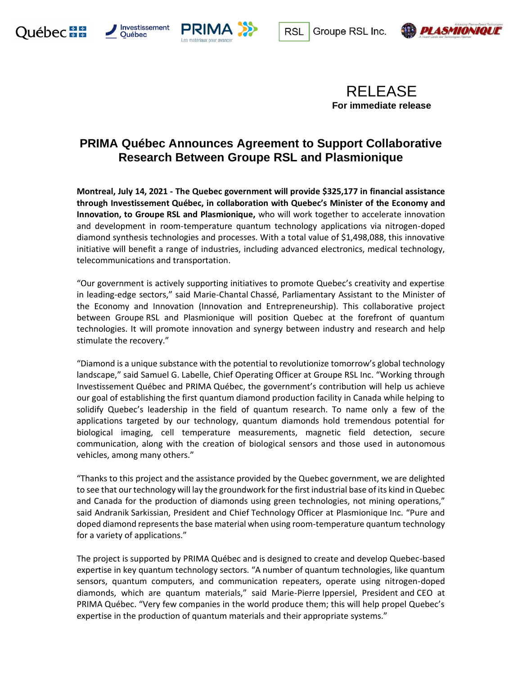









## **PRIMA Québec Announces Agreement to Support Collaborative Research Between Groupe RSL and Plasmionique**

**Montreal, July 14, 2021 - The Quebec government will provide \$325,177 in financial assistance through Investissement Québec, in collaboration with Quebec's Minister of the Economy and Innovation, to Groupe RSL and Plasmionique,** who will work together to accelerate innovation and development in room-temperature quantum technology applications via nitrogen-doped diamond synthesis technologies and processes. With a total value of \$1,498,088, this innovative initiative will benefit a range of industries, including advanced electronics, medical technology, telecommunications and transportation.

"Our government is actively supporting initiatives to promote Quebec's creativity and expertise in leading-edge sectors," said Marie-Chantal Chassé, Parliamentary Assistant to the Minister of the Economy and Innovation (Innovation and Entrepreneurship). This collaborative project between Groupe RSL and Plasmionique will position Quebec at the forefront of quantum technologies. It will promote innovation and synergy between industry and research and help stimulate the recovery."

"Diamond is a unique substance with the potential to revolutionize tomorrow's global technology landscape," said Samuel G. Labelle, Chief Operating Officer at Groupe RSL Inc. "Working through Investissement Québec and PRIMA Québec, the government's contribution will help us achieve our goal of establishing the first quantum diamond production facility in Canada while helping to solidify Quebec's leadership in the field of quantum research. To name only a few of the applications targeted by our technology, quantum diamonds hold tremendous potential for biological imaging, cell temperature measurements, magnetic field detection, secure communication, along with the creation of biological sensors and those used in autonomous vehicles, among many others."

"Thanks to this project and the assistance provided by the Quebec government, we are delighted to see that our technology will lay the groundwork for the first industrial base of its kind in Quebec and Canada for the production of diamonds using green technologies, not mining operations," said Andranik Sarkissian, President and Chief Technology Officer at Plasmionique Inc. "Pure and doped diamond represents the base material when using room-temperature quantum technology for a variety of applications."

The project is supported by PRIMA Québec and is designed to create and develop Quebec-based expertise in key quantum technology sectors. "A number of quantum technologies, like quantum sensors, quantum computers, and communication repeaters, operate using nitrogen-doped diamonds, which are quantum materials," said Marie-Pierre Ippersiel, President and CEO at PRIMA Québec. "Very few companies in the world produce them; this will help propel Quebec's expertise in the production of quantum materials and their appropriate systems."